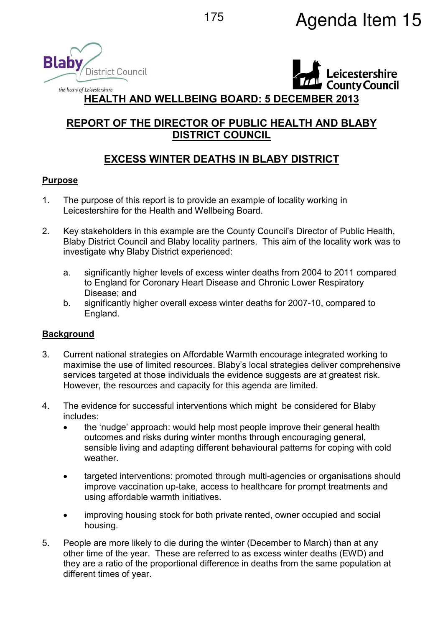



## **HEALTH AND WELLBEING BOARD: 5 DECEMBER 2013**

# **REPORT OF THE DIRECTOR OF PUBLIC HEALTH AND BLABY DISTRICT COUNCIL**

# **EXCESS WINTER DEATHS IN BLABY DISTRICT**

## **Purpose**

- 1. The purpose of this report is to provide an example of locality working in Leicestershire for the Health and Wellbeing Board.
- 2. Key stakeholders in this example are the County Council's Director of Public Health, Blaby District Council and Blaby locality partners. This aim of the locality work was to investigate why Blaby District experienced:
	- a. significantly higher levels of excess winter deaths from 2004 to 2011 compared to England for Coronary Heart Disease and Chronic Lower Respiratory Disease; and
	- b. significantly higher overall excess winter deaths for 2007-10, compared to England.

## **Background**

- 3. Current national strategies on Affordable Warmth encourage integrated working to maximise the use of limited resources. Blaby's local strategies deliver comprehensive services targeted at those individuals the evidence suggests are at greatest risk. However, the resources and capacity for this agenda are limited.
- 4. The evidence for successful interventions which might be considered for Blaby includes:
	- the 'nudge' approach: would help most people improve their general health outcomes and risks during winter months through encouraging general, sensible living and adapting different behavioural patterns for coping with cold weather.
	- targeted interventions: promoted through multi-agencies or organisations should improve vaccination up-take, access to healthcare for prompt treatments and using affordable warmth initiatives.
	- improving housing stock for both private rented, owner occupied and social housing.
- 5. People are more likely to die during the winter (December to March) than at any other time of the year. These are referred to as excess winter deaths (EWD) and they are a ratio of the proportional difference in deaths from the same population at different times of year.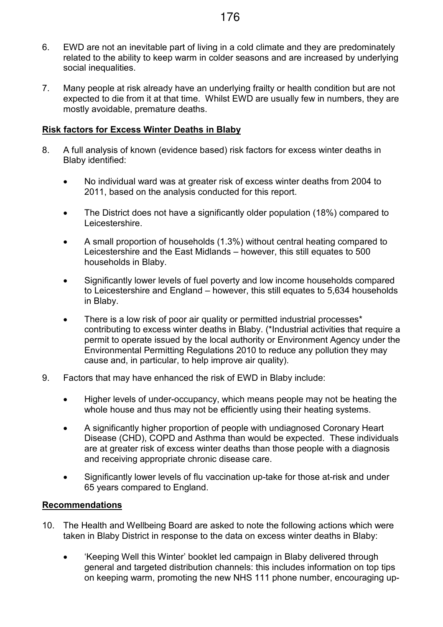- 6. EWD are not an inevitable part of living in a cold climate and they are predominately related to the ability to keep warm in colder seasons and are increased by underlying social inequalities.
- 7. Many people at risk already have an underlying frailty or health condition but are not expected to die from it at that time. Whilst EWD are usually few in numbers, they are mostly avoidable, premature deaths.

#### **Risk factors for Excess Winter Deaths in Blaby**

- 8. A full analysis of known (evidence based) risk factors for excess winter deaths in Blaby identified:
	- No individual ward was at greater risk of excess winter deaths from 2004 to 2011, based on the analysis conducted for this report.
	- The District does not have a significantly older population (18%) compared to Leicestershire.
	- A small proportion of households (1.3%) without central heating compared to Leicestershire and the East Midlands – however, this still equates to 500 households in Blaby.
	- Significantly lower levels of fuel poverty and low income households compared to Leicestershire and England – however, this still equates to 5,634 households in Blaby.
	- There is a low risk of poor air quality or permitted industrial processes<sup>\*</sup> contributing to excess winter deaths in Blaby. (\*Industrial activities that require a permit to operate issued by the local authority or Environment Agency under the Environmental Permitting Regulations 2010 to reduce any pollution they may cause and, in particular, to help improve air quality).
- 9. Factors that may have enhanced the risk of EWD in Blaby include:
	- Higher levels of under-occupancy, which means people may not be heating the whole house and thus may not be efficiently using their heating systems.
	- A significantly higher proportion of people with undiagnosed Coronary Heart Disease (CHD), COPD and Asthma than would be expected. These individuals are at greater risk of excess winter deaths than those people with a diagnosis and receiving appropriate chronic disease care.
	- Significantly lower levels of flu vaccination up-take for those at-risk and under 65 years compared to England.

#### **Recommendations**

- 10. The Health and Wellbeing Board are asked to note the following actions which were taken in Blaby District in response to the data on excess winter deaths in Blaby:
	- 'Keeping Well this Winter' booklet led campaign in Blaby delivered through general and targeted distribution channels: this includes information on top tips on keeping warm, promoting the new NHS 111 phone number, encouraging up-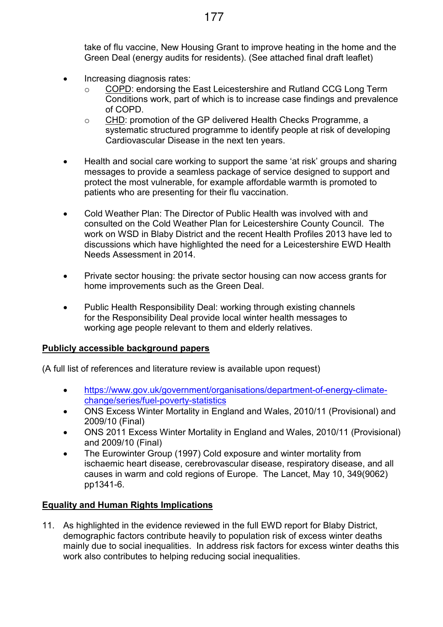take of flu vaccine, New Housing Grant to improve heating in the home and the Green Deal (energy audits for residents). (See attached final draft leaflet)

- Increasing diagnosis rates:
	- COPD: endorsing the East Leicestershire and Rutland CCG Long Term Conditions work, part of which is to increase case findings and prevalence of COPD.
	- o CHD: promotion of the GP delivered Health Checks Programme, a systematic structured programme to identify people at risk of developing Cardiovascular Disease in the next ten years.
- Health and social care working to support the same 'at risk' groups and sharing messages to provide a seamless package of service designed to support and protect the most vulnerable, for example affordable warmth is promoted to patients who are presenting for their flu vaccination.
- Cold Weather Plan: The Director of Public Health was involved with and consulted on the Cold Weather Plan for Leicestershire County Council. The work on WSD in Blaby District and the recent Health Profiles 2013 have led to discussions which have highlighted the need for a Leicestershire EWD Health Needs Assessment in 2014.
- Private sector housing: the private sector housing can now access grants for home improvements such as the Green Deal.
- Public Health Responsibility Deal: working through existing channels for the Responsibility Deal provide local winter health messages to working age people relevant to them and elderly relatives.

## **Publicly accessible background papers**

(A full list of references and literature review is available upon request)

- https://www.gov.uk/government/organisations/department-of-energy-climatechange/series/fuel-poverty-statistics
- ONS Excess Winter Mortality in England and Wales, 2010/11 (Provisional) and 2009/10 (Final)
- ONS 2011 Excess Winter Mortality in England and Wales, 2010/11 (Provisional) and 2009/10 (Final)
- The Eurowinter Group (1997) Cold exposure and winter mortality from ischaemic heart disease, cerebrovascular disease, respiratory disease, and all causes in warm and cold regions of Europe. The Lancet, May 10, 349(9062) pp1341-6.

## **Equality and Human Rights Implications**

11. As highlighted in the evidence reviewed in the full EWD report for Blaby District, demographic factors contribute heavily to population risk of excess winter deaths mainly due to social inequalities. In address risk factors for excess winter deaths this work also contributes to helping reducing social inequalities.